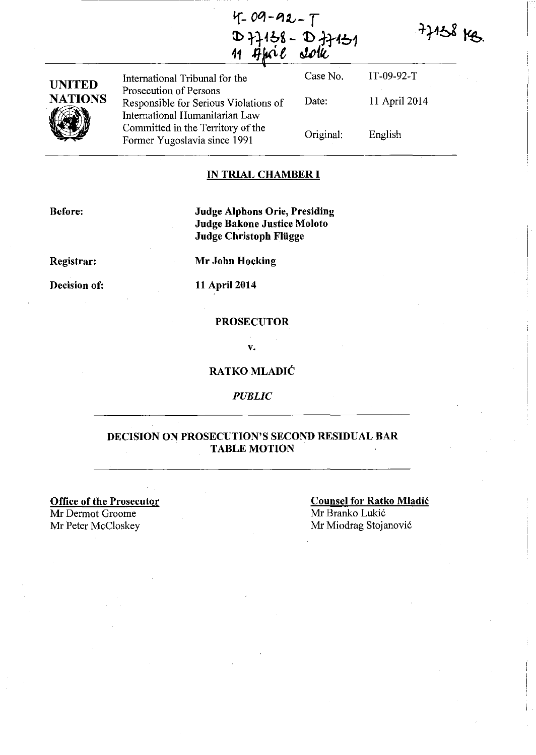$4 - 09 - 92 - 7$  $(1 - 64)$ <br>  $(D)$   $(1)$   $(1)$   $(6)$   $(0)$   $(1)$   $(1)$   $(0)$   $(0)$   $(0)$ **<sup>11</sup>**.q.~ *t* **t:U/t** 

 $77158$  kg.

| <b>UNITED</b><br><b>NATIONS</b> | International Tribunal for the                                                                    | Case No.  | $IT-09-92-T$  |  |
|---------------------------------|---------------------------------------------------------------------------------------------------|-----------|---------------|--|
|                                 | Prosecution of Persons<br>Responsible for Serious Violations of<br>International Humanitarian Law | Date:     | 11 April 2014 |  |
|                                 | Committed in the Territory of the<br>Former Yugoslavia since 1991                                 | Original: | English       |  |

#### **IN TRIAL CHAMBER I**

**Before:** 

**Judge Alphons Orie, Presiding**  Judge **Bakone Justice Moloto Judge Christoph Fliigge** 

**Registrar:** 

**Mr John Hocking** 

**Decision of:** 

**11** April 2014

#### **PROSECUTOR**

v.

#### **RATKO MLADIĆ**

*PUBLIC* 

#### **DECISION ON PROSECUTION'S SECOND RESIDUAL BAR TABLE MOTION**

**Office of the Prosecutor**  Mr Dermot Groome<br>Mr Peter McCloskey

**Counsel for Ratko Mladic**  Mr Branko Lukić Mr Miodrag Stojanović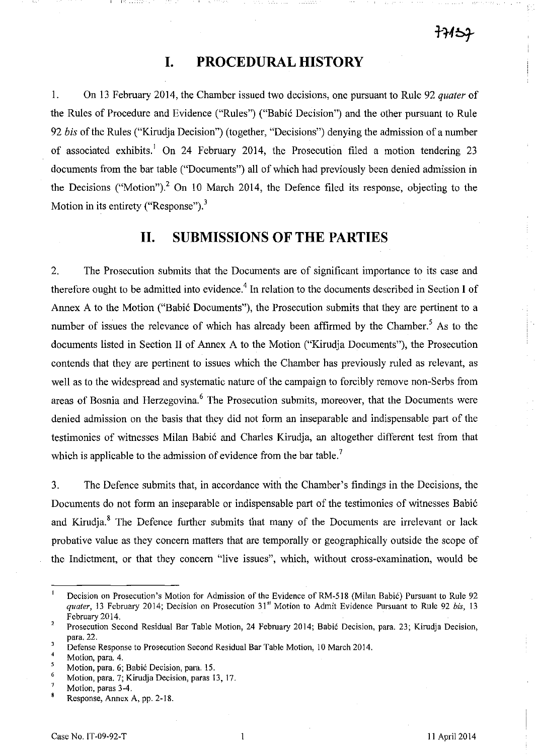## **I. PROCEDURAL HISTORY**

1. On 13 February 2014, the Chamber issued two decisions, one pursuant to Rule 92 *quater* of the Rules of Procedure and Evidence ("Rules") ("Babic Decision") and the other pursuant to Rule *92 bis* of the Rules ("Kirudja Decision") (together, "Decisions") denying the admission of a number of associated exhibits.<sup>1</sup> On 24 February 2014, the Prosecution filed a motion tendering 23 documents from the bar table ("Documents") all of which had previously been denied admission in the Decisions ("Motion")? On 10 March 2014, the Defence filed its response, objecting to the Motion in its entirety ("Response"). $3$ 

## **II. SUBMISSIONS OF THE PARTIES**

2. The Prosecution submits that the Documents are of significant importance to its case and therefore ought to be admitted into evidence.<sup>4</sup> In relation to the documents described in Section I of Annex A to the Motion ("Babic Documents"), the Prosecution submits that they are pertinent to a number of issues the relevance of which has already been affirmed by the Chamber.<sup>5</sup> As to the documents listed in Section II of Annex A to the Motion ("Kirudja Documents"), the Prosecution contends that they are pertinent to issues which the Chamber has previously ruled as relevant, as well as to the widespread and systematic nature of the campaign to forcibly remove non-Serbs from areas of Bosnia and Herzegovina.<sup>6</sup> The Prosecution submits, moreover, that the Documents were denied admission on the basis that they did not form an inseparable and indispensable part of the testimonies of witnesses Milan Babic and Charles Kirudja, an altogether different test from that which is applicable to the admission of evidence from the bar table.<sup>7</sup>

3. The Defence submits that, in accordance with the Chamber's findings in the Decisions, the Documents do not form an inseparable or indispensable part of the testimonies of witnesses Babic and Kirudia.<sup>8</sup> The Defence further submits that many of the Documents are irrelevant or lack probative value as they concern matters that are temporally or geographically outside the scope of the Indictment, or that they concern "live issues", which, without cross-examination, would be

Decision on Prosecution's Motion for Admission of the Evidence of RM-518 (Milan Babic) Pursuant to Rule 92 *quater,* 13 February 2014; Decision on Prosecution 31" Motion to Admit Evidence Pursuant to Rule 92 *bis, 13*  February 2014.

 $\overline{a}$ Prosecution Second Residual Bar Table Motion, 24 February 2014; Babic Decision, para. 23; Kirudja Decision, para. 22.

 $\overline{\mathbf{3}}$ Defense Response to Prosecution Second Residual Bar Table Motion, 10 March 2014.

 $\overline{4}$ Motion, para. 4.

<sup>5</sup> Motion, para. 6; Babić Decision, para. 15.

<sup>6</sup>  Motion, para. 7; Kirudja Decision, paras 13, 17.

 $\overline{7}$ Motion, paras 3-4.

<sup>8</sup> Response, Annex A, pp. 2-18.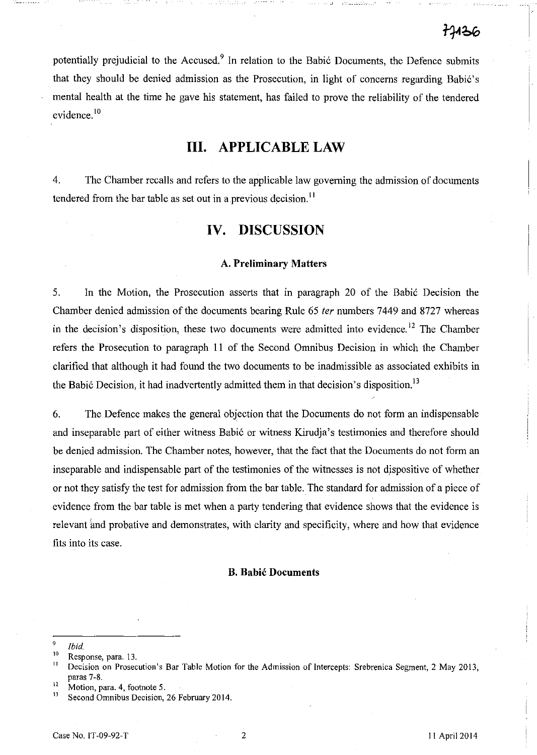potentially prejudicial to the Accused.<sup>9</sup> In relation to the Babić Documents, the Defence submits that they should be denied admission as the Prosecution, in light of concerns regarding Babic's mental health at the time he gave his statement, has failed to prove the reliability of the tendered evidence.<sup>10</sup>

# **III. APPLICABLE LAW**

4. The Chamber recalls and refers to the applicable law governing the admission of documents tendered from the bar table as set out in a previous decision.<sup>11</sup>

### **IV. DISCUSSION**

#### A. **Preliminary Matters**

5. In the Motion, the Prosecution asserts that in paragraph 20 of the Babic Decision the Chamber denied admission of the documents bearing Rule 65 fer numbers 7449 and 8727 whereas in the decision's disposition, these two documents were admitted into evidence.<sup>12</sup> The Chamber refers the Prosecution to paragraph 11 of the Second Omnibus Decision in which the Chamber clarified that although it had found the two documents to be inadmissible as associated exhibits in the Babić Decision, it had inadvertently admitted them in that decision's disposition.<sup>13</sup>

6. The Defence makes the general objection that the Documents do not form an indispensable and inseparable part of either witness Babic or witness Kirudja's testimonies and therefore should be denied admission. The Chamber notes, however, that the fact that the Documents do not form an inseparable and indispensable part of the testimonies of the witnesses is not dispositive of whether or not they satisfy the test for admission from the bar table. The standard for admission of a piece of evidence from the bar table is met when a party tendering that evidence shows that the evidence is relevant and probative and demonstrates, with clarity and specificity, where and how that evidence fits into its case.

#### **B. Babic Documents**

 $\frac{9}{10}$  *Ibid*,

**<sup>10</sup>Response, para. 13.** 

<sup>&</sup>lt;sup>11</sup> Decision on Prosecution's Bar Table Motion for the Admission of Intercepts: Srebrenica Segment, 2 May 2013, paras 7-8.

 $\frac{12}{13}$  Motion, para. 4, footnote 5.

Second Omnibus Decision, 26 February 2014.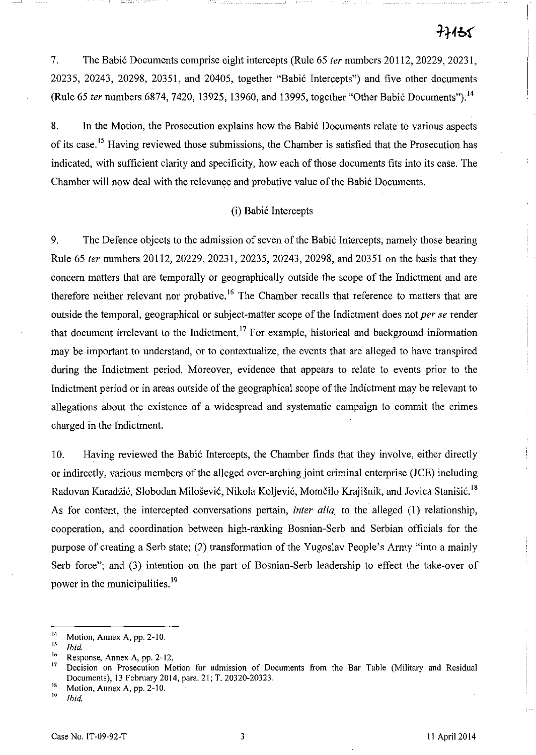# ナトイラく

7. The Babic Documents comprise eight intercepts (Rule 65 *ter* numbers 20112, 20229, 20231, 20235, 20243, 20298, 20351, and 20405, together "Babic Intercepts") and five other documents (Rule 65 *ter* numbers 6874, 7420, 13925, 13960, and 13995, together "Other Babic Documents"). 14

8. In the Motion, the Prosecution explains how the Babić Documents relate to various aspects of its case.<sup>15</sup> Having reviewed those submissions, the Chamber is satisfied that the Prosecution has indicated, with sufficient clarity and specificity, how each of those documents fits into its case. The Chamber will now deal with the relevance and probative value of the Babic Documents.

#### (i) Babic Intercepts

9. The Defence objects to the admission of seven of the Babic Intercepts, namely those bearing Rule 65 *ter* numbers 20112, 20229, 20231, 20235, 20243, 20298, and 20351 on the basis that they concern matters that are temporally or geographically outside the scope of the Indictment and are therefore neither relevant nor probative.<sup>16</sup> The Chamber recalls that reference to matters that are outside the temporal, geographical or subject-matter scope of the Indictment does not *per se* render that document irrelevant to the Indictment.<sup>17</sup> For example, historical and background information may be important to understand, or to contextualize, the events that are alleged to have transpired during the Indictment period. Moreover, evidence that appears to relate to events prior to the Indictment period or in areas outside of the geographical scope of the Indictment may be relevant to allegations about the existence of a widespread and systematic campaign to commit the crimes charged in the Indictment.

10. Having reviewed the Babic Intercepts, the Chamber finds that they involve, either directly or indirectly, various members of the alleged over-arching joint criminal enterprise (JCE) including Radovan Karadžić, Slobodan Milošević, Nikola Koljević, Momčilo Krajišnik, and Jovica Stanišić.<sup>18</sup> As for content, the intercepted conversations pertain, *inter alia,* to the alleged (l) relationship, cooperation, and coordination between high-ranking Bosnian-Serb and Serbian officials for the purpose of creating a Serb state; (2) transformation of the Yugoslav People's Army "into a mainly Serb force"; and (3) intention on the part of Bosnian-Serb leadership to effect the take-over of power in the municipalities.<sup>19</sup>

 $^{14}$  Motion, Annex A, pp. 2-10.

<sup>15</sup>*{bid.* 

<sup>&</sup>lt;sup>16</sup> Response, Annex A, pp. 2-12.<br><sup>17</sup> Perisian on Processition Ma

Decision on Prosecution Motion for admission of Documents from the Bar Table (Military and Residual Documents), 13 February 2014, para. 21; T. 20320-20323.

<sup>&</sup>lt;sup>18</sup> Motion, Annex A, pp. 2-10.

<sup>19</sup>*{bid.*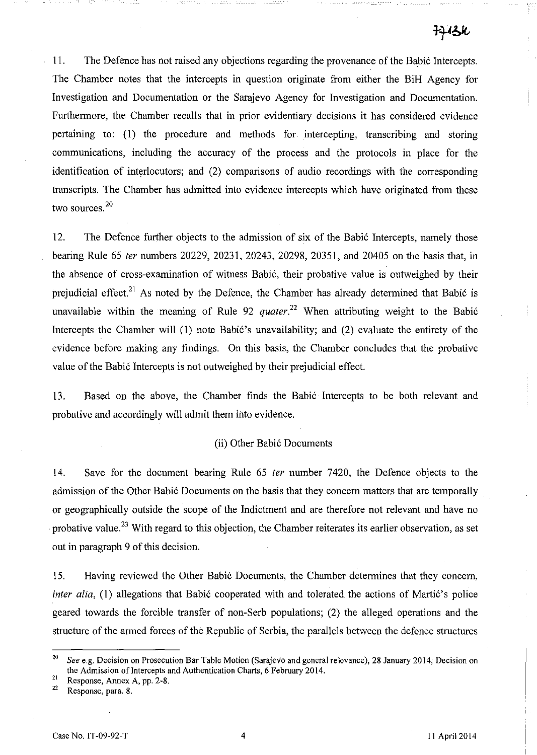II. The Defence has not raised any objections regarding the provenance of the Babic Intercepts. The Chamber notes that the intercepts in question originate from either the BiH Agency for Investigation and Documentation or the Sarajevo Agency for Investigation and Documentation. Furthermore, the Chamber recalls that in prior evidentiary decisions it has considered evidence pertaining to: (I) the procedure and methods for intercepting, transcribing and storing communications, including the accuracy of the process and the protocols in place for the identification of interlocutors; and (2) comparisons of audio recordings with the corresponding transcripts. The Chamber has admitted into evidence intercepts which have originated from these two sources.<sup>20</sup>

12. The Defence further objects to the admission of six of the Babic Intercepts, namely those bearing Rule 65 *ler* numbers 20229, 20231, 20243, 20298, 20351, and 20405 on the basis that, in the absence of cross-examination of witness Babic, their probative value is outweighed by their prejudicial effect.<sup>21</sup> As noted by the Defence, the Chamber has already determined that Babić is unavailable within the meaning of Rule 92 *quater*<sup>22</sup> When attributing weight to the Babić Intercepts the Chamber will (I) note Babic's unavailability; and (2) evaluate the entirety of the evidence before making any findings. On this basis, the Chamber concludes that the probative value of the Babic Intercepts is not outweighed by their prejudicial effect.

13. Based on the above, the Chamber finds the Babic Intercepts to be both relevant and probative and accordingly will admit them into evidence.

#### (ii) Other Babic Documents

14. Save for the document bearing Rule 65 *ter* number 7420, the Defence objects to the admission of the Other Babic Documents on the basis that they concern matters that are temporally or geographically outside the scope of the Indictment and are therefore not relevant and have no probative value.<sup>23</sup> With regard to this objection, the Chamber reiterates its earlier observation, as set out in paragraph 9 of this decision.

15. Having reviewed the Other Babic Documents, the Chamber determines that they concern, *inter alia,* (1) allegations that Babić cooperated with and tolerated the actions of Martić's police geared towards the forcible transfer of non-Serb populations; (2) the alleged operations and the structure of the armed forces of the Republic of Serbia, the parallels between the defence structures

*<sup>20</sup> See* e.g. Decision on Prosecution Bar Table Motion (Sarajevo and general relevance), 28 January 2014; Decision on the Admission of Intercepts and Authentication Charts, 6 February 2014.

**<sup>21</sup> Response, Annex A, pp. 2-8.** 

Response, para. 8.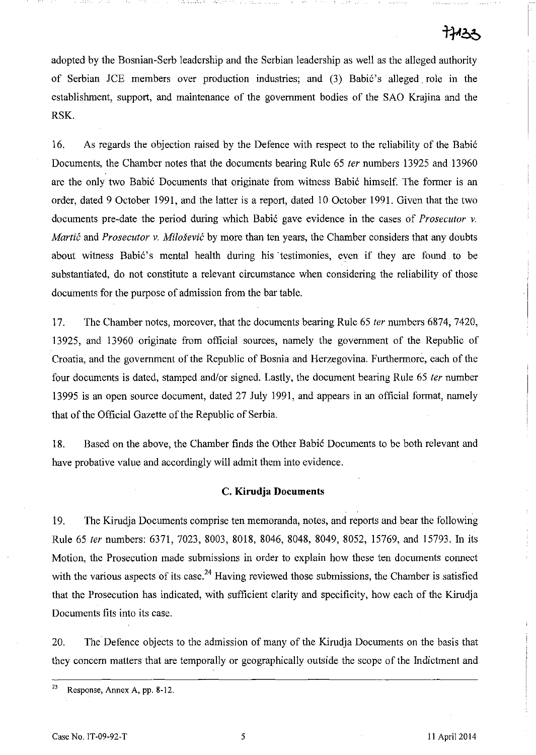adopted by the Bosnian-Serb leadership and the Serbian leadership as well as the alleged authority of Serbian *ICE* members over production industries; and (3) Babic's alleged. role in the establishment, support, and maintenance of the govermnent bodies of the SAO Krajina and the RSK.

16. As regards the objection raised by the Defence with respect to the reliability of the Babic Documents, the Chamber notes that the documents bearing Rule 65 *ter* numbers 13925 and 13960 are the only two Babic Documents that originate from witness Babic himself. The former is an order, dated 9 October 1991, and the latter is a report, dated 10 October 1991. Given that the two documents pre-date the period during which Babic gave evidence in the cases of *Prosecutor* v. *Martić* and *Prosecutor v. Milošević* by more than ten years, the Chamber considers that any doubts about witness Babić's mental health during his testimonies, even if they are found to be substantiated, do not constitute a relevant circumstance when considering the reliability of those documents for the purpose of admission from the bar table.

17. The Chamber notes, moreover, that the documents bearing Rule 65 *ter* numbers 6874, 7420, 13925, and 13960 originate from official sources, namely the government of the Republic of Croatia, and the government of the Republic of Bosnia and Herzegovina. Furthermore, each of the four documents is dated, stamped and/or signed. Lastly, the document bearing Rule 65 *ter* number 13995 is an open source document, dated 27 July 1991, and appears in an official format, namely that of the Official Gazette of the Republic of Serbia.

18. Based on the above, the Chamber finds the Other Babic Documents to be both relevant and have probative value and accordingly will admit them into evidence.

#### C. **Kirudja Documents**

19. The Kirudja Documents comprise ten memoranda, notes, and reports and bear the following Rule 65 *ter* numbers: 6371, 7023, 8003, 8018, 8046, 8048, 8049, 8052, 15769, and 15793. In its Motion, the Prosecution made submissions in order to explain how these ten documents connect with the various aspects of its case.<sup>24</sup> Having reviewed those submissions, the Chamber is satisfied that the Prosecution has indicated, with sufficient clarity and specificity, how each of the Kirudja Documents fits into its case.

20. The Defence objects to the admission of many of the Kirudja Documents on the basis that they concern matters that are temporally or geographically outside the scope of the Indictment and

 $23$  Response, Annex A, pp. 8-12.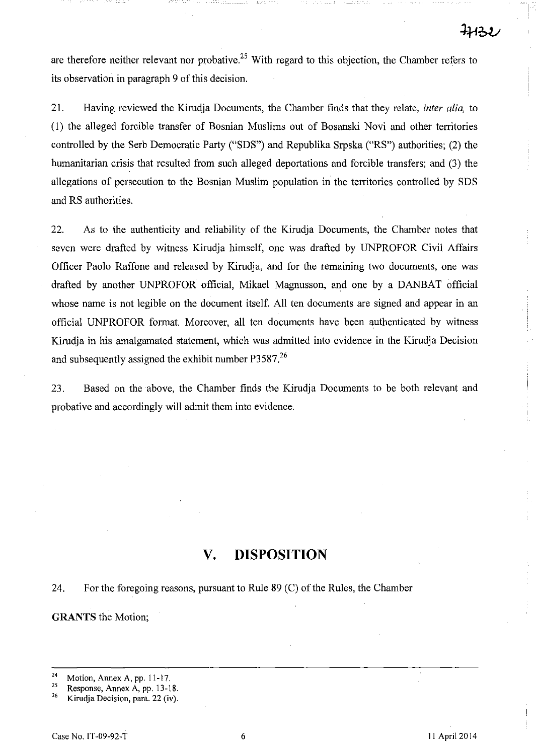are therefore neither relevant nor probative.<sup>25</sup> With regard to this objection, the Chamber refers to its observation in paragraph 9 of this decision.

21. Having reviewed the Kirudja Documents, the Chamber finds that they relate, *inter alia,* to (1) the alleged forcible transfer of Bosnian Muslims out of Bosanski Novi and other territories controlled by the Serb Democratic Party ("SDS") and Republika Srpska ("RS") authorities; (2) the humanitarian crisis that resulted from such alleged deportations and forcible transfers; and (3) the allegations of persecution to the Bosnian Muslim population in the territories controlled by SDS and RS authorities.

22. As to the authenticity and reliability of the Kirudja Documents, the Chamber notes that seven were drafted by witness Kirudja himself, one was drafted by UNPROFOR Civil Affairs Officer Paolo Raffone and released by Kirudja, and for the remaining two documents, one was drafted by another UNPROFOR official, Mikael Magnusson, and one by a DANBAT official whose name is not legible on the document itself. All ten documents are signed and appear in an official UNPROFOR format. Moreover, all ten documents have been authenticated by witness Kirudja in his amalgamated statement, which was admitted into evidence in the Kirudja Decision and subsequently assigned the exhibit number  $P3587<sup>26</sup>$ 

23. Based on the above, the Chamber finds the Kirudja Documents to be both relevant and probative and accordingly will admit them into evidence.

# **V. DISPOSITION**

24. For the foregoing reasons, pursuant to Rule 89 (C) of the Rules, the Chamber

**GRANTS** the Motion;

 $\frac{24}{25}$  Motion, Annex A, pp. 11-17.

<sup>&</sup>lt;sup>25</sup> Response, Annex A, pp. 13-18.<br><sup>26</sup> *Virudio* Decision para 22 (iv)

Kirudja Decision, para. 22 (iv).